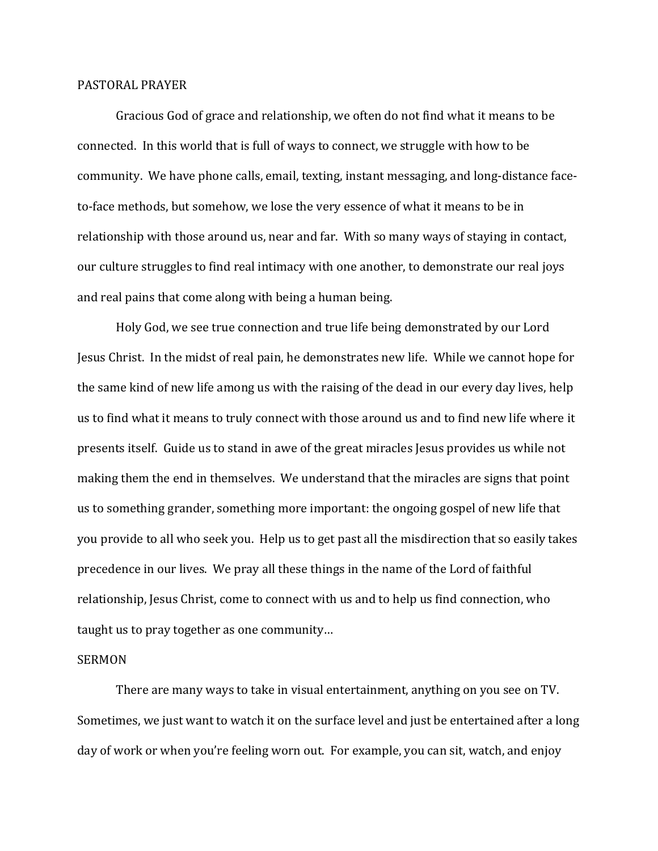## PASTORAL PRAYER

Gracious God of grace and relationship, we often do not find what it means to be connected. In this world that is full of ways to connect, we struggle with how to be community. We have phone calls, email, texting, instant messaging, and long-distance faceto-face methods, but somehow, we lose the very essence of what it means to be in relationship with those around us, near and far. With so many ways of staying in contact, our culture struggles to find real intimacy with one another, to demonstrate our real joys and real pains that come along with being a human being.

Holy God, we see true connection and true life being demonstrated by our Lord Jesus Christ. In the midst of real pain, he demonstrates new life. While we cannot hope for the same kind of new life among us with the raising of the dead in our every day lives, help us to find what it means to truly connect with those around us and to find new life where it presents itself. Guide us to stand in awe of the great miracles Jesus provides us while not making them the end in themselves. We understand that the miracles are signs that point us to something grander, something more important: the ongoing gospel of new life that you provide to all who seek you. Help us to get past all the misdirection that so easily takes precedence in our lives. We pray all these things in the name of the Lord of faithful relationship, Jesus Christ, come to connect with us and to help us find connection, who taught us to pray together as one community…

## SERMON

There are many ways to take in visual entertainment, anything on you see on TV. Sometimes, we just want to watch it on the surface level and just be entertained after a long day of work or when you're feeling worn out. For example, you can sit, watch, and enjoy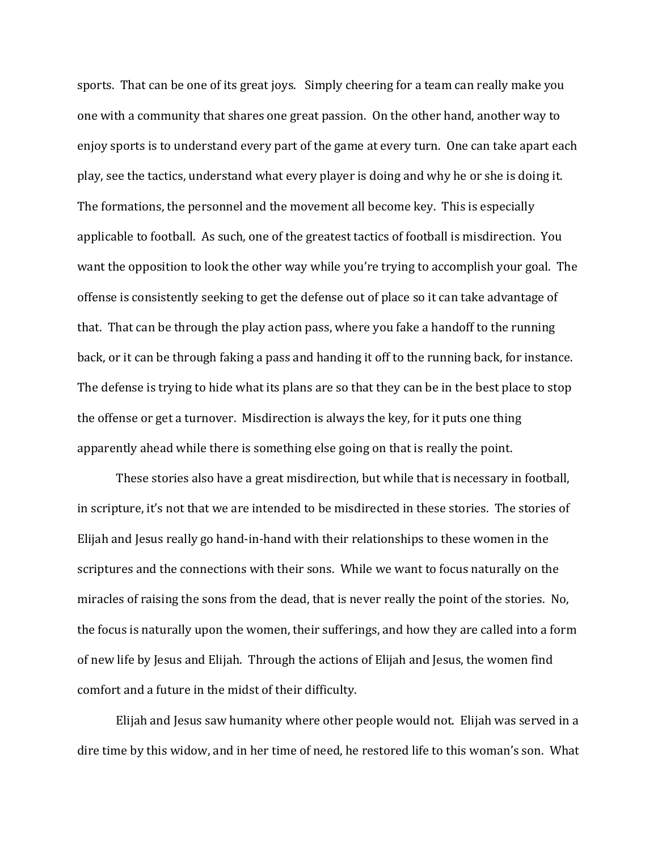sports. That can be one of its great joys. Simply cheering for a team can really make you one with a community that shares one great passion. On the other hand, another way to enjoy sports is to understand every part of the game at every turn. One can take apart each play, see the tactics, understand what every player is doing and why he or she is doing it. The formations, the personnel and the movement all become key. This is especially applicable to football. As such, one of the greatest tactics of football is misdirection. You want the opposition to look the other way while you're trying to accomplish your goal. The offense is consistently seeking to get the defense out of place so it can take advantage of that. That can be through the play action pass, where you fake a handoff to the running back, or it can be through faking a pass and handing it off to the running back, for instance. The defense is trying to hide what its plans are so that they can be in the best place to stop the offense or get a turnover. Misdirection is always the key, for it puts one thing apparently ahead while there is something else going on that is really the point.

These stories also have a great misdirection, but while that is necessary in football, in scripture, it's not that we are intended to be misdirected in these stories. The stories of Elijah and Jesus really go hand-in-hand with their relationships to these women in the scriptures and the connections with their sons. While we want to focus naturally on the miracles of raising the sons from the dead, that is never really the point of the stories. No, the focus is naturally upon the women, their sufferings, and how they are called into a form of new life by Jesus and Elijah. Through the actions of Elijah and Jesus, the women find comfort and a future in the midst of their difficulty.

Elijah and Jesus saw humanity where other people would not. Elijah was served in a dire time by this widow, and in her time of need, he restored life to this woman's son. What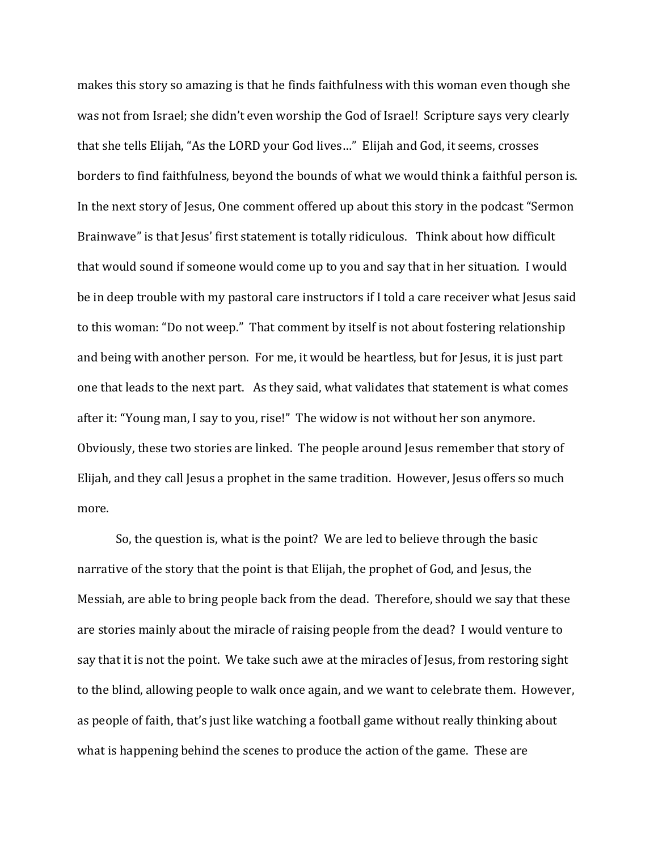makes this story so amazing is that he finds faithfulness with this woman even though she was not from Israel; she didn't even worship the God of Israel! Scripture says very clearly that she tells Elijah, "As the LORD your God lives…" Elijah and God, it seems, crosses borders to find faithfulness, beyond the bounds of what we would think a faithful person is. In the next story of Jesus, One comment offered up about this story in the podcast "Sermon Brainwave" is that Jesus' first statement is totally ridiculous. Think about how difficult that would sound if someone would come up to you and say that in her situation. I would be in deep trouble with my pastoral care instructors if I told a care receiver what Jesus said to this woman: "Do not weep." That comment by itself is not about fostering relationship and being with another person. For me, it would be heartless, but for Jesus, it is just part one that leads to the next part. As they said, what validates that statement is what comes after it: "Young man, I say to you, rise!" The widow is not without her son anymore. Obviously, these two stories are linked. The people around Jesus remember that story of Elijah, and they call Jesus a prophet in the same tradition. However, Jesus offers so much more.

So, the question is, what is the point? We are led to believe through the basic narrative of the story that the point is that Elijah, the prophet of God, and Jesus, the Messiah, are able to bring people back from the dead. Therefore, should we say that these are stories mainly about the miracle of raising people from the dead? I would venture to say that it is not the point. We take such awe at the miracles of Jesus, from restoring sight to the blind, allowing people to walk once again, and we want to celebrate them. However, as people of faith, that's just like watching a football game without really thinking about what is happening behind the scenes to produce the action of the game. These are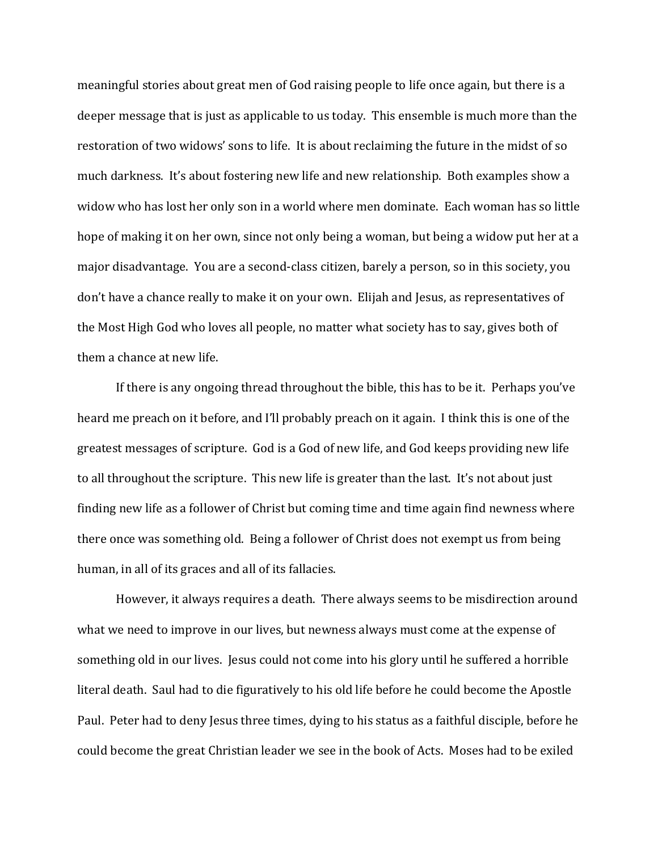meaningful stories about great men of God raising people to life once again, but there is a deeper message that is just as applicable to us today. This ensemble is much more than the restoration of two widows' sons to life. It is about reclaiming the future in the midst of so much darkness. It's about fostering new life and new relationship. Both examples show a widow who has lost her only son in a world where men dominate. Each woman has so little hope of making it on her own, since not only being a woman, but being a widow put her at a major disadvantage. You are a second-class citizen, barely a person, so in this society, you don't have a chance really to make it on your own. Elijah and Jesus, as representatives of the Most High God who loves all people, no matter what society has to say, gives both of them a chance at new life.

If there is any ongoing thread throughout the bible, this has to be it. Perhaps you've heard me preach on it before, and I'll probably preach on it again. I think this is one of the greatest messages of scripture. God is a God of new life, and God keeps providing new life to all throughout the scripture. This new life is greater than the last. It's not about just finding new life as a follower of Christ but coming time and time again find newness where there once was something old. Being a follower of Christ does not exempt us from being human, in all of its graces and all of its fallacies.

However, it always requires a death. There always seems to be misdirection around what we need to improve in our lives, but newness always must come at the expense of something old in our lives. Jesus could not come into his glory until he suffered a horrible literal death. Saul had to die figuratively to his old life before he could become the Apostle Paul. Peter had to deny Jesus three times, dying to his status as a faithful disciple, before he could become the great Christian leader we see in the book of Acts. Moses had to be exiled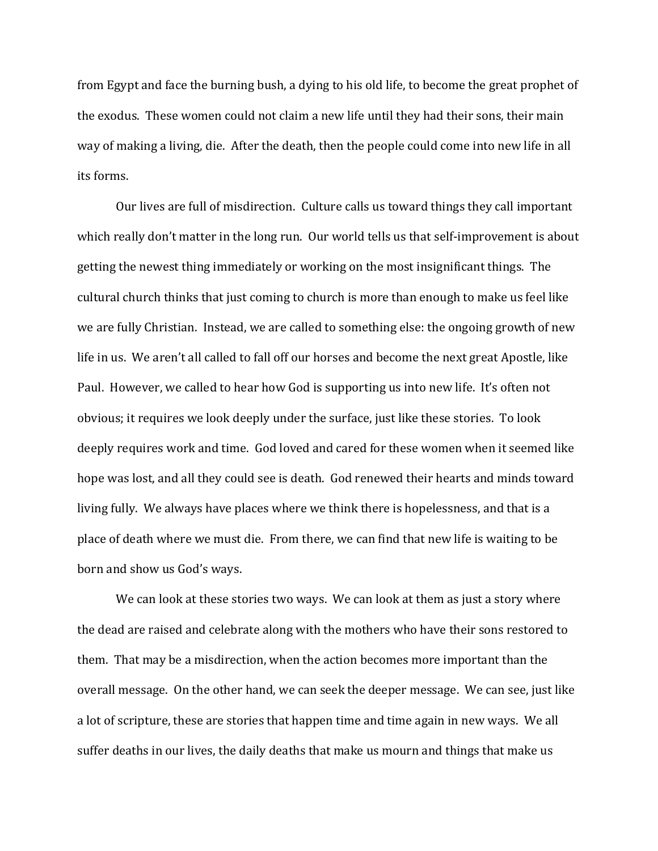from Egypt and face the burning bush, a dying to his old life, to become the great prophet of the exodus. These women could not claim a new life until they had their sons, their main way of making a living, die. After the death, then the people could come into new life in all its forms.

Our lives are full of misdirection. Culture calls us toward things they call important which really don't matter in the long run. Our world tells us that self-improvement is about getting the newest thing immediately or working on the most insignificant things. The cultural church thinks that just coming to church is more than enough to make us feel like we are fully Christian. Instead, we are called to something else: the ongoing growth of new life in us. We aren't all called to fall off our horses and become the next great Apostle, like Paul. However, we called to hear how God is supporting us into new life. It's often not obvious; it requires we look deeply under the surface, just like these stories. To look deeply requires work and time. God loved and cared for these women when it seemed like hope was lost, and all they could see is death. God renewed their hearts and minds toward living fully. We always have places where we think there is hopelessness, and that is a place of death where we must die. From there, we can find that new life is waiting to be born and show us God's ways.

We can look at these stories two ways. We can look at them as just a story where the dead are raised and celebrate along with the mothers who have their sons restored to them. That may be a misdirection, when the action becomes more important than the overall message. On the other hand, we can seek the deeper message. We can see, just like a lot of scripture, these are stories that happen time and time again in new ways. We all suffer deaths in our lives, the daily deaths that make us mourn and things that make us